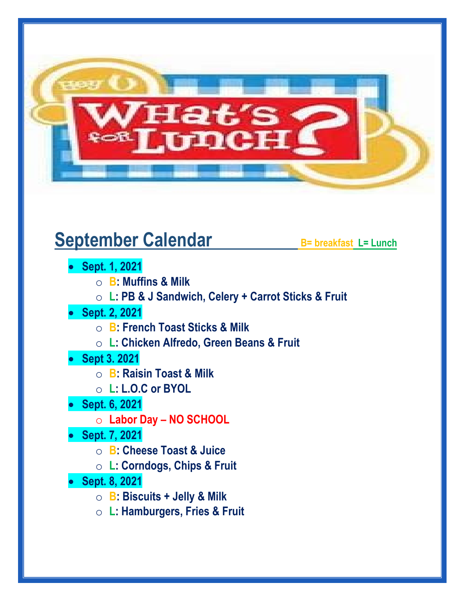

## **September Calendar** B= breakfast L= Lunch

- **Sept. 1, 2021**
	- o **B: Muffins & Milk**
	- o **L: PB & J Sandwich, Celery + Carrot Sticks & Fruit**
- **Sept. 2, 2021**
	- o **B: French Toast Sticks & Milk**
	- o **L: Chicken Alfredo, Green Beans & Fruit**
- **Sept 3. 2021**
	- o **B: Raisin Toast & Milk**
	- o **L: L.O.C or BYOL**
- **Sept. 6, 2021**
	- o **Labor Day – NO SCHOOL**
- **Sept. 7, 2021**
	- o **B: Cheese Toast & Juice**
	- o **L: Corndogs, Chips & Fruit**
- **Sept. 8, 2021**
	- o **B: Biscuits + Jelly & Milk**
	- o **L: Hamburgers, Fries & Fruit**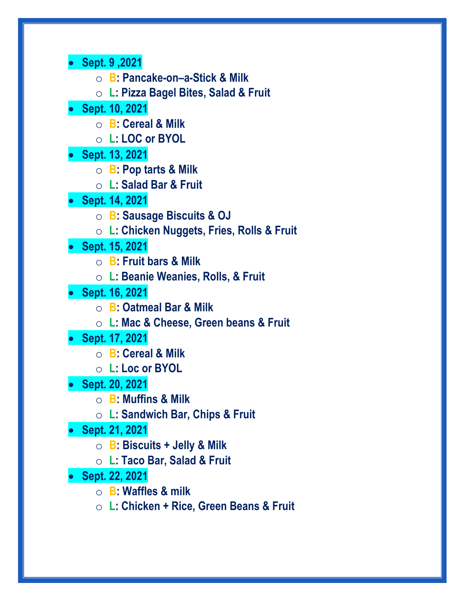• **Sept. 9 ,2021**

o **B: Pancake-on–a-Stick & Milk**

o **L: Pizza Bagel Bites, Salad & Fruit**

• **Sept. 10, 2021**

o **B: Cereal & Milk**

o **L: LOC or BYOL**

• **Sept. 13, 2021**

o **B: Pop tarts & Milk**

o **L: Salad Bar & Fruit**

• **Sept. 14, 2021**

o **B: Sausage Biscuits & OJ**

o **L: Chicken Nuggets, Fries, Rolls & Fruit**

• **Sept. 15, 2021**

o **B: Fruit bars & Milk**

o **L: Beanie Weanies, Rolls, & Fruit**

• **Sept. 16, 2021**

o **B: Oatmeal Bar & Milk**

o **L: Mac & Cheese, Green beans & Fruit**

• **Sept. 17, 2021**

o **B: Cereal & Milk**

o **L: Loc or BYOL**

• **Sept. 20, 2021**

o **B: Muffins & Milk**

o **L: Sandwich Bar, Chips & Fruit**

• **Sept. 21, 2021**

o **B: Biscuits + Jelly & Milk**

o **L: Taco Bar, Salad & Fruit**

• **Sept. 22, 2021**

o **B: Waffles & milk**

o **L: Chicken + Rice, Green Beans & Fruit**